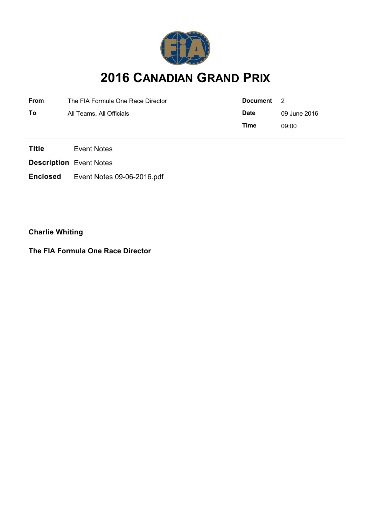

# **2016 CANADIAN GRAND PRIX**

| <b>From</b> | The FIA Formula One Race Director | Document    | $\overline{2}$ |
|-------------|-----------------------------------|-------------|----------------|
| Τo          | All Teams, All Officials          | <b>Date</b> | 09 June 2016   |
|             |                                   | Time        | 09:00          |

**Title** Event Notes

**Description** Event Notes

**Enclosed** Event Notes 09-06-2016.pdf

**Charlie Whiting**

**The FIA Formula One Race Director**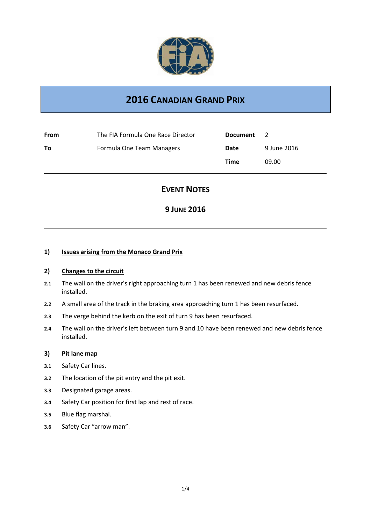

# **2016 CANADIAN GRAND PRIX**

| From | The FIA Formula One Race Director | <b>Document</b> | <sup>2</sup> |
|------|-----------------------------------|-----------------|--------------|
| То   | Formula One Team Managers         | Date            | 9 June 2016  |
|      |                                   | Time            | 09.00        |

# **EVENT NOTES**

# **9 JUNE 2016**

#### **1) Issues arising from the Monaco Grand Prix**

#### **2) Changes to the circuit**

- **2.1** The wall on the driver's right approaching turn 1 has been renewed and new debris fence installed.
- **2.2** A small area of the track in the braking area approaching turn 1 has been resurfaced.
- **2.3** The verge behind the kerb on the exit of turn 9 has been resurfaced.
- **2.4** The wall on the driver's left between turn 9 and 10 have been renewed and new debris fence installed.

#### **3) Pit lane map**

- **3.1** Safety Car lines.
- **3.2** The location of the pit entry and the pit exit.
- **3.3** Designated garage areas.
- **3.4** Safety Car position for first lap and rest of race.
- **3.5** Blue flag marshal.
- **3.6** Safety Car "arrow man".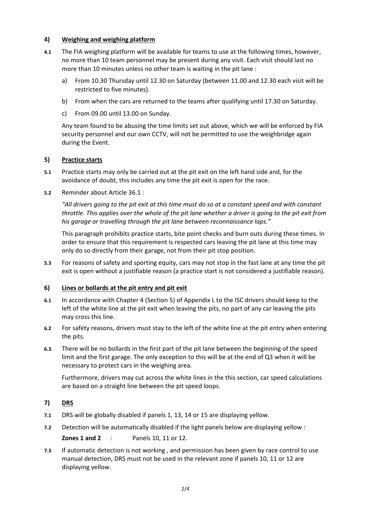#### **4) Weighing and weighing platform**

- **4.1** The FIA weighing platform will be available for teams to use at the following times, however, no more than 10 team personnel may be present during any visit. Each visit should last no more than 10 minutes unless no other team is waiting in the pit lane :
	- a) From 10.30 Thursday until 12.30 on Saturday (between 11.00 and 12.30 each visit will be restricted to five minutes).
	- b) From when the cars are returned to the teams after qualifying until 17.30 on Saturday.
	- c) From 09.00 until 13.00 on Sunday.

Any team found to be abusing the time limits set out above, which we will be enforced by FIA security personnel and our own CCTV, will not be permitted to use the weighbridge again during the Event.

#### **5) Practice starts**

- **5.1** Practice starts may only be carried out at the pit exit on the left hand side and, for the avoidance of doubt, this includes any time the pit exit is open for the race.
- **5.2** Reminder about Article 36.1 :

*"All drivers going to the pit exit at this time must do so at a constant speed and with constant throttle. This applies over the whole of the pit lane whether a driver is going to the pit exit from his garage or travelling through the pit lane between reconnaissance laps."*

This paragraph prohibits practice starts, bite point checks and burn outs during these times. In order to ensure that this requirement is respected cars leaving the pit lane at this time may only do so directly from their garage, not from their pit stop position.

**5.3** For reasons of safety and sporting equity, cars may not stop in the fast lane at any time the pit exit is open without a justifiable reason (a practice start is not considered a justifiable reason).

#### **6) Lines or bollards at the pit entry and pit exit**

- **6.1** In accordance with Chapter 4 (Section 5) of Appendix L to the ISC drivers should keep to the left of the white line at the pit exit when leaving the pits, no part of any car leaving the pits may cross this line.
- **6.2** For safety reasons, drivers must stay to the left of the white line at the pit entry when entering the pits.
- **6.3** There will be no bollards in the first part of the pit lane between the beginning of the speed limit and the first garage. The only exception to this will be at the end of Q3 when it will be necessary to protect cars in the weighing area.

Furthermore, drivers may cut across the white lines in the this section, car speed calculations are based on a straight line between the pit speed loops.

- **7) DRS**
- **7.1** DRS will be globally disabled if panels 1, 13, 14 or 15 are displaying yellow.
- **7.2** Detection will be automatically disabled if the light panels below are displaying yellow :

**Zones 1 and 2** : Panels 10, 11 or 12.

**7.3** If automatic detection is not working , and permission has been given by race control to use manual detection, DRS must not be used in the relevant zone if panels 10, 11 or 12 are displaying yellow.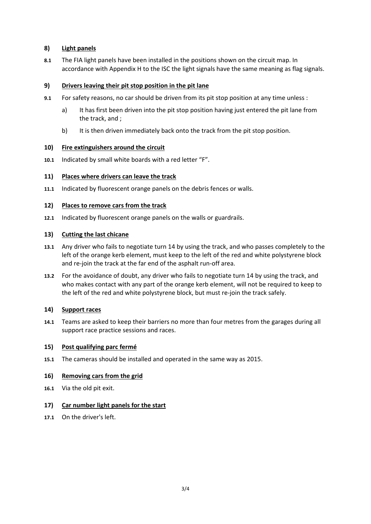#### **8) Light panels**

**8.1** The FIA light panels have been installed in the positions shown on the circuit map. In accordance with Appendix H to the ISC the light signals have the same meaning as flag signals.

#### **9) Drivers leaving their pit stop position in the pit lane**

- **9.1** For safety reasons, no car should be driven from its pit stop position at any time unless :
	- a) It has first been driven into the pit stop position having just entered the pit lane from the track, and ;
	- b) It is then driven immediately back onto the track from the pit stop position.

#### **10) Fire extinguishers around the circuit**

**10.1** Indicated by small white boards with a red letter "F".

#### **11) Places where drivers can leave the track**

**11.1** Indicated by fluorescent orange panels on the debris fences or walls.

#### **12) Places to remove cars from the track**

**12.1** Indicated by fluorescent orange panels on the walls or guardrails.

#### **13) Cutting the last chicane**

- **13.1** Any driver who fails to negotiate turn 14 by using the track, and who passes completely to the left of the orange kerb element, must keep to the left of the red and white polystyrene block and re-join the track at the far end of the asphalt run-off area.
- **13.2** For the avoidance of doubt, any driver who fails to negotiate turn 14 by using the track, and who makes contact with any part of the orange kerb element, will not be required to keep to the left of the red and white polystyrene block, but must re-join the track safely.

### **14) Support races**

**14.1** Teams are asked to keep their barriers no more than four metres from the garages during all support race practice sessions and races.

#### **15) Post qualifying parc fermé**

**15.1** The cameras should be installed and operated in the same way as 2015.

#### **16) Removing cars from the grid**

**16.1** Via the old pit exit.

#### **17) Car number light panels for the start**

**17.1** On the driver's left.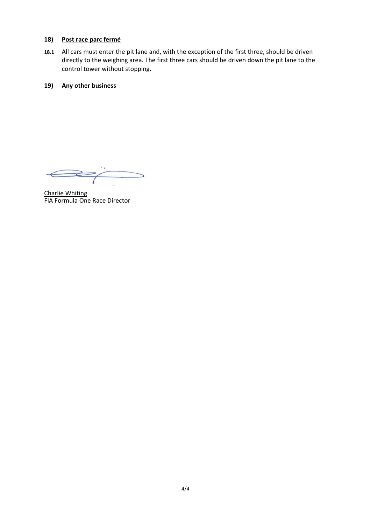#### **18) Post race parc fermé**

**18.1** All cars must enter the pit lane and, with the exception of the first three, should be driven directly to the weighing area. The first three cars should be driven down the pit lane to the control tower without stopping.

### **19) Any other business**

 $\Longleftrightarrow$  $\geq$ 

Charlie Whiting FIA Formula One Race Director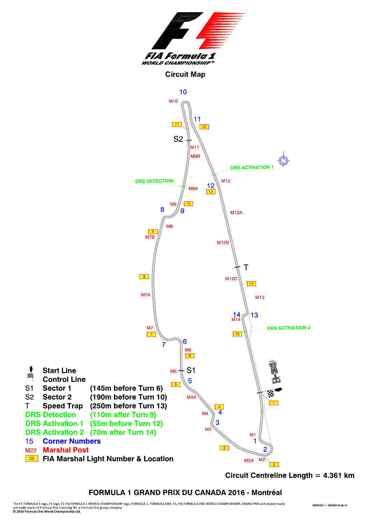

Circuit Centreline Length = 4.361 km

## FORMULA 1 GRAND PRIX DU CANADA 2016 - Montréal